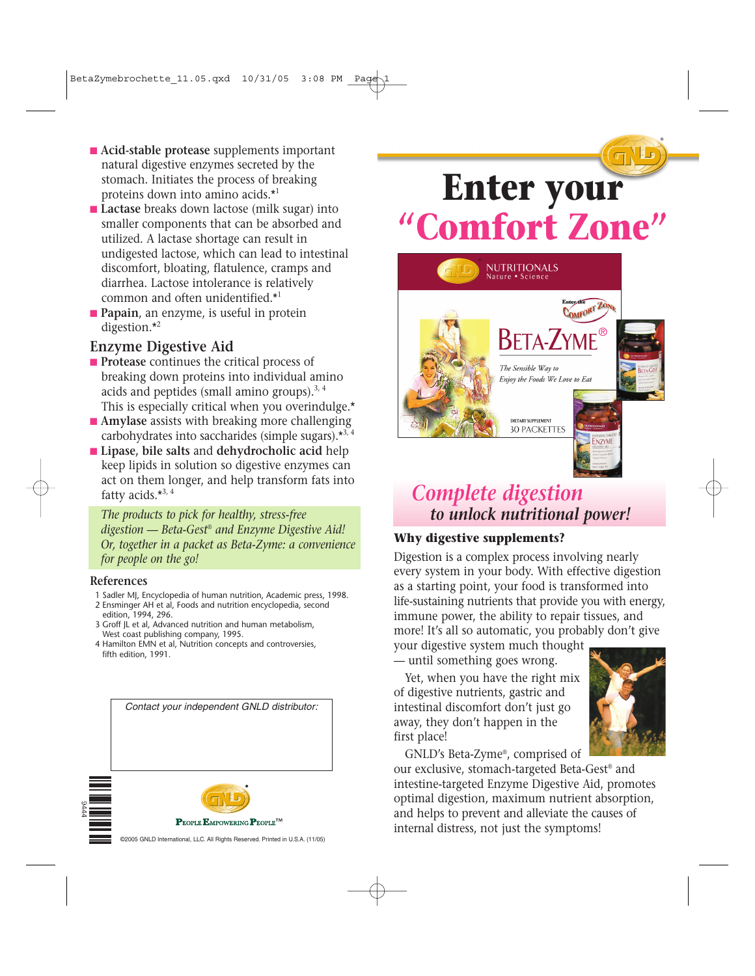- **Acid-stable protease** supplements important natural digestive enzymes secreted by the stomach. Initiates the process of breaking proteins down into amino acids.\*<sup>1</sup>
- **Lactase** breaks down lactose (milk sugar) into smaller components that can be absorbed and utilized. A lactase shortage can result in undigested lactose, which can lead to intestinal discomfort, bloating, flatulence, cramps and diarrhea. Lactose intolerance is relatively common and often unidentified.\*<sup>1</sup>
- **Papain**, an enzyme, is useful in protein digestion.\*<sup>2</sup>

## **Enzyme Digestive Aid**

- **Protease** continues the critical process of breaking down proteins into individual amino acids and peptides (small amino groups). $3, 4$ This is especially critical when you overindulge.\*
- **Amylase** assists with breaking more challenging carbohydrates into saccharides (simple sugars). $*3, 4$
- **Lipase**, bile salts and **dehydrocholic** acid help keep lipids in solution so digestive enzymes can act on them longer, and help transform fats into fatty acids.\*3, 4

*The products to pick for healthy, stress-free digestion — Beta-Gest® and Enzyme Digestive Aid! Or, together in a packet as Beta-Zyme: a convenience for people on the go!*

#### **References**

- 1 Sadler MJ, Encyclopedia of human nutrition, Academic press, 1998.
- 2 Ensminger AH et al, Foods and nutrition encyclopedia, second
- edition, 1994, 296. 3 Groff JL et al, Advanced nutrition and human metabolism, West coast publishing company, 1995.
- 4 Hamilton EMN et al, Nutrition concepts and controversies, fifth edition, 1991.

*Contact your independent GNLD distributor:*





**PEOPLE EMPOWERING PEOPLE™** 

# **Enter your "Comfort Zone"**

®



## *Complete digestion to unlock nutritional power!*

#### **Why digestive supplements?**

Digestion is a complex process involving nearly every system in your body. With effective digestion as a starting point, your food is transformed into life-sustaining nutrients that provide you with energy, immune power, the ability to repair tissues, and more! It's all so automatic, you probably don't give

your digestive system much thought — until something goes wrong.

Yet, when you have the right mix of digestive nutrients, gastric and intestinal discomfort don't just go away, they don't happen in the first place!



GNLD's Beta-Zyme®, comprised of

our exclusive, stomach-targeted Beta-Gest® and intestine-targeted Enzyme Digestive Aid, promotes optimal digestion, maximum nutrient absorption, and helps to prevent and alleviate the causes of internal distress, not just the symptoms!